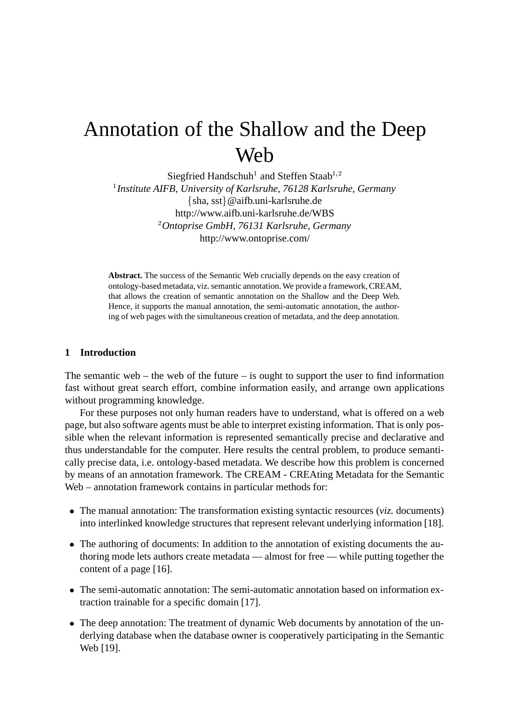# Annotation of the Shallow and the Deep Web

Siegfried Handschuh<sup>1</sup> and Steffen Staab<sup>1,2</sup> <sup>1</sup> *Institute AIFB, University of Karlsruhe, 76128 Karlsruhe, Germany*  $\{\text{sha}, \text{sst}\}$ @aifb.uni-karlsruhe.de http://www.aifb.uni-karlsruhe.de/WBS <sup>2</sup> *Ontoprise GmbH, 76131 Karlsruhe, Germany* http://www.ontoprise.com/

**Abstract.** The success of the Semantic Web crucially depends on the easy creation of ontology-based metadata, viz. semantic annotation. We provide a framework, CREAM, that allows the creation of semantic annotation on the Shallow and the Deep Web. Hence, it supports the manual annotation, the semi-automatic annotation, the authoring of web pages with the simultaneous creation of metadata, and the deep annotation.

# **1 Introduction**

The semantic web – the web of the future – is ought to support the user to find information fast without great search effort, combine information easily, and arrange own applications without programming knowledge.

For these purposes not only human readers have to understand, what is offered on a web page, but also software agents must be able to interpret existing information. That is only possible when the relevant information is represented semantically precise and declarative and thus understandable for the computer. Here results the central problem, to produce semantically precise data, i.e. ontology-based metadata. We describe how this problem is concerned by means of an annotation framework. The CREAM - CREAting Metadata for the Semantic Web – annotation framework contains in particular methods for:

- The manual annotation: The transformation existing syntactic resources (*viz.* documents) into interlinked knowledge structures that represent relevant underlying information [18].
- The authoring of documents: In addition to the annotation of existing documents the authoring mode lets authors create metadata — almost for free — while putting together the content of a page [16].
- The semi-automatic annotation: The semi-automatic annotation based on information extraction trainable for a specific domain [17].
- The deep annotation: The treatment of dynamic Web documents by annotation of the underlying database when the database owner is cooperatively participating in the Semantic Web [19].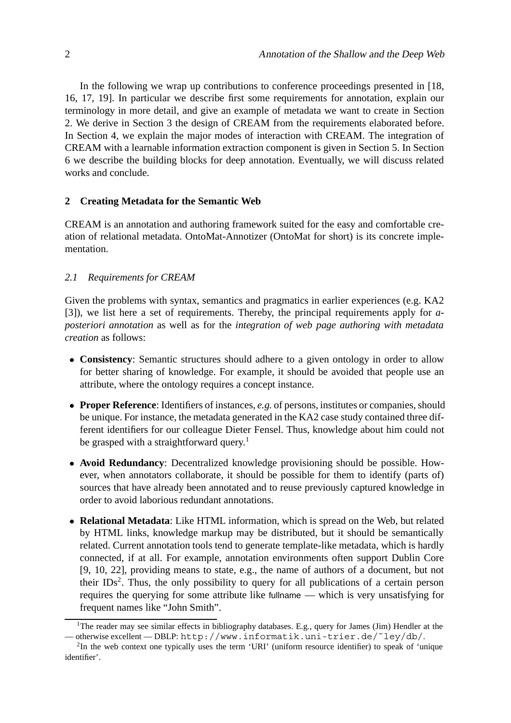In the following we wrap up contributions to conference proceedings presented in [18, 16, 17, 19]. In particular we describe first some requirements for annotation, explain our terminology in more detail, and give an example of metadata we want to create in Section 2. We derive in Section 3 the design of CREAM from the requirements elaborated before. In Section 4, we explain the major modes of interaction with CREAM. The integration of CREAM with a learnable information extraction component is given in Section 5. In Section 6 we describe the building blocks for deep annotation. Eventually, we will discuss related works and conclude.

## **2 Creating Metadata for the Semantic Web**

CREAM is an annotation and authoring framework suited for the easy and comfortable creation of relational metadata. OntoMat-Annotizer (OntoMat for short) is its concrete implementation.

## *2.1 Requirements for CREAM*

Given the problems with syntax, semantics and pragmatics in earlier experiences (e.g. KA2 [3]), we list here a set of requirements. Thereby, the principal requirements apply for *aposteriori annotation* as well as for the *integration of web page authoring with metadata creation* as follows:

- **Consistency**: Semantic structures should adhere to a given ontology in order to allow for better sharing of knowledge. For example, it should be avoided that people use an attribute, where the ontology requires a concept instance.
- **Proper Reference**: Identifiers of instances, *e.g.* of persons, institutes or companies, should be unique. For instance, the metadata generated in the KA2 case study contained three different identifiers for our colleague Dieter Fensel. Thus, knowledge about him could not be grasped with a straightforward query.<sup>1</sup>
- **Avoid Redundancy**: Decentralized knowledge provisioning should be possible. However, when annotators collaborate, it should be possible for them to identify (parts of) sources that have already been annotated and to reuse previously captured knowledge in order to avoid laborious redundant annotations.
- **Relational Metadata**: Like HTML information, which is spread on the Web, but related by HTML links, knowledge markup may be distributed, but it should be semantically related. Current annotation tools tend to generate template-like metadata, which is hardly connected, if at all. For example, annotation environments often support Dublin Core [9, 10, 22], providing means to state, e.g., the name of authors of a document, but not their  $IDs<sup>2</sup>$ . Thus, the only possibility to query for all publications of a certain person requires the querying for some attribute like fullname — which is very unsatisfying for frequent names like "John Smith".

<sup>&</sup>lt;sup>1</sup>The reader may see similar effects in bibliography databases. E.g., query for James (Jim) Hendler at the — otherwise excellent — DBLP: http://www.informatik.uni-trier.de/˜ley/db/.

<sup>2</sup>In the web context one typically uses the term 'URI' (uniform resource identifier) to speak of 'unique identifier'.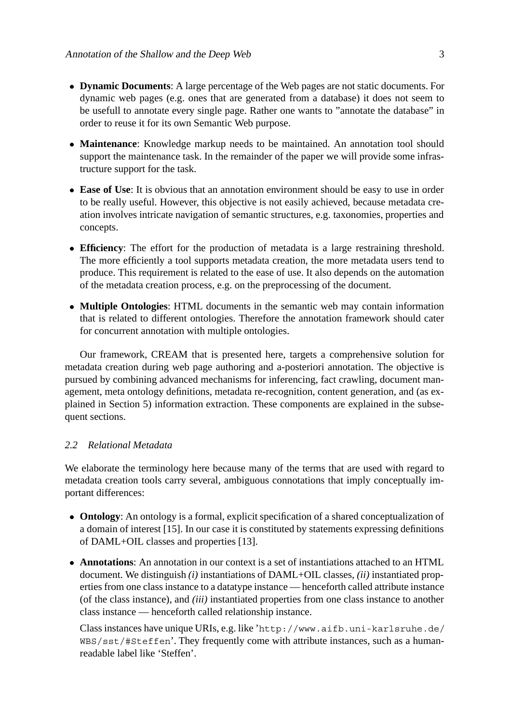- **Dynamic Documents**: A large percentage of the Web pages are not static documents. For dynamic web pages (e.g. ones that are generated from a database) it does not seem to be usefull to annotate every single page. Rather one wants to "annotate the database" in order to reuse it for its own Semantic Web purpose.
- **Maintenance**: Knowledge markup needs to be maintained. An annotation tool should support the maintenance task. In the remainder of the paper we will provide some infrastructure support for the task.
- **Ease of Use**: It is obvious that an annotation environment should be easy to use in order to be really useful. However, this objective is not easily achieved, because metadata creation involves intricate navigation of semantic structures, e.g. taxonomies, properties and concepts.
- **Efficiency**: The effort for the production of metadata is a large restraining threshold. The more efficiently a tool supports metadata creation, the more metadata users tend to produce. This requirement is related to the ease of use. It also depends on the automation of the metadata creation process, e.g. on the preprocessing of the document.
- **Multiple Ontologies**: HTML documents in the semantic web may contain information that is related to different ontologies. Therefore the annotation framework should cater for concurrent annotation with multiple ontologies.

Our framework, CREAM that is presented here, targets a comprehensive solution for metadata creation during web page authoring and a-posteriori annotation. The objective is pursued by combining advanced mechanisms for inferencing, fact crawling, document management, meta ontology definitions, metadata re-recognition, content generation, and (as explained in Section 5) information extraction. These components are explained in the subsequent sections.

## *2.2 Relational Metadata*

We elaborate the terminology here because many of the terms that are used with regard to metadata creation tools carry several, ambiguous connotations that imply conceptually important differences:

- **Ontology**: An ontology is a formal, explicit specification of a shared conceptualization of a domain of interest [15]. In our case it is constituted by statements expressing definitions of DAML+OIL classes and properties [13].
- **Annotations**: An annotation in our context is a set of instantiations attached to an HTML document. We distinguish *(i)* instantiations of DAML+OIL classes, *(ii)* instantiated properties from one class instance to a datatype instance — henceforth called attribute instance (of the class instance), and *(iii)* instantiated properties from one class instance to another class instance — henceforth called relationship instance.

Class instances have unique URIs, e.g. like 'http://www.aifb.uni-karlsruhe.de/ WBS/sst/#Steffen'. They frequently come with attribute instances, such as a humanreadable label like 'Steffen'.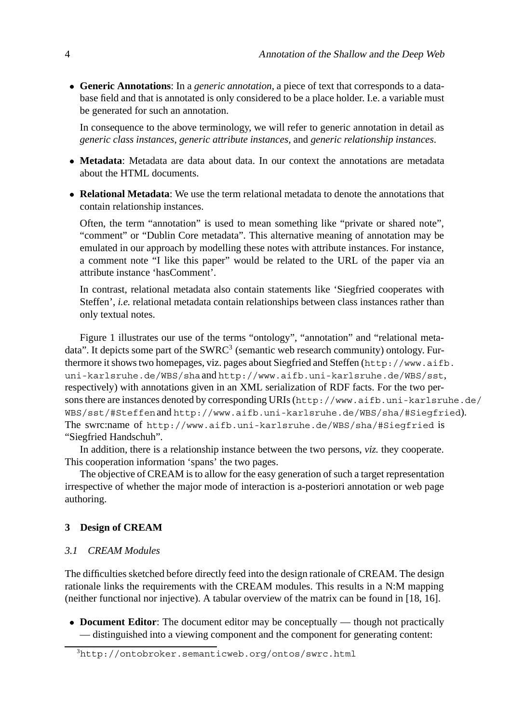**Generic Annotations**: In a *generic annotation*, a piece of text that corresponds to a database field and that is annotated is only considered to be a place holder. I.e. a variable must be generated for such an annotation.

In consequence to the above terminology, we will refer to generic annotation in detail as *generic class instances*, *generic attribute instances*, and *generic relationship instances*.

- **Metadata**: Metadata are data about data. In our context the annotations are metadata about the HTML documents.
- **Relational Metadata**: We use the term relational metadata to denote the annotations that contain relationship instances.

Often, the term "annotation" is used to mean something like "private or shared note", "comment" or "Dublin Core metadata". This alternative meaning of annotation may be emulated in our approach by modelling these notes with attribute instances. For instance, a comment note "I like this paper" would be related to the URL of the paper via an attribute instance 'hasComment'.

In contrast, relational metadata also contain statements like 'Siegfried cooperates with Steffen', *i.e.* relational metadata contain relationships between class instances rather than only textual notes.

Figure 1 illustrates our use of the terms "ontology", "annotation" and "relational metadata". It depicts some part of the  $SWRC<sup>3</sup>$  (semantic web research community) ontology. Furthermore it shows two homepages, viz. pages about Siegfried and Steffen (http://www.aifb. uni-karlsruhe.de/WBS/shaand http://www.aifb.uni-karlsruhe.de/WBS/sst, respectively) with annotations given in an XML serialization of RDF facts. For the two persons there are instances denoted by corresponding URIs (http://www.aifb.uni-karlsruhe.de/ WBS/sst/#Steffenand http://www.aifb.uni-karlsruhe.de/WBS/sha/#Siegfried). The swrc:name of http://www.aifb.uni-karlsruhe.de/WBS/sha/#Siegfried is "Siegfried Handschuh".

In addition, there is a relationship instance between the two persons, *viz.* they cooperate. This cooperation information 'spans' the two pages.

The objective of CREAM is to allow for the easy generation of such a target representation irrespective of whether the major mode of interaction is a-posteriori annotation or web page authoring.

## **3 Design of CREAM**

# *3.1 CREAM Modules*

The difficulties sketched before directly feed into the design rationale of CREAM. The design rationale links the requirements with the CREAM modules. This results in a N:M mapping (neither functional nor injective). A tabular overview of the matrix can be found in [18, 16].

 **Document Editor**: The document editor may be conceptually — though not practically — distinguished into a viewing component and the component for generating content:

<sup>3</sup>http://ontobroker.semanticweb.org/ontos/swrc.html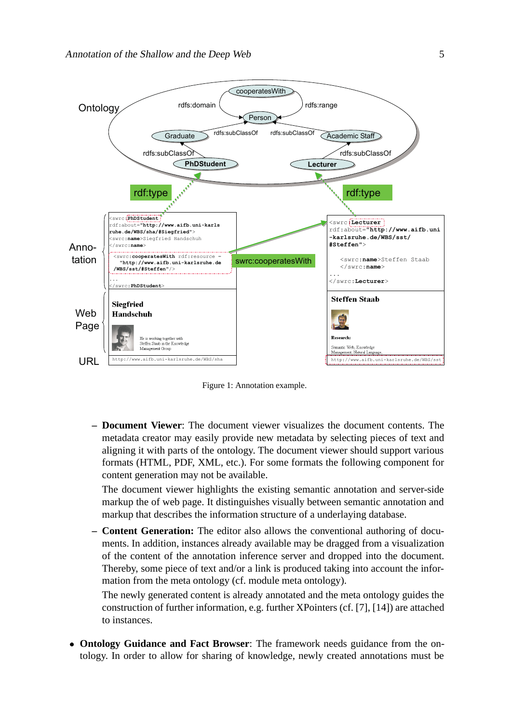

Figure 1: Annotation example.

**– Document Viewer**: The document viewer visualizes the document contents. The metadata creator may easily provide new metadata by selecting pieces of text and aligning it with parts of the ontology. The document viewer should support various formats (HTML, PDF, XML, etc.). For some formats the following component for content generation may not be available.

The document viewer highlights the existing semantic annotation and server-side markup the of web page. It distinguishes visually between semantic annotation and markup that describes the information structure of a underlaying database.

**– Content Generation:** The editor also allows the conventional authoring of documents. In addition, instances already available may be dragged from a visualization of the content of the annotation inference server and dropped into the document. Thereby, some piece of text and/or a link is produced taking into account the information from the meta ontology (cf. module meta ontology).

The newly generated content is already annotated and the meta ontology guides the construction of further information, e.g. further XPointers (cf. [7], [14]) are attached to instances.

 **Ontology Guidance and Fact Browser**: The framework needs guidance from the ontology. In order to allow for sharing of knowledge, newly created annotations must be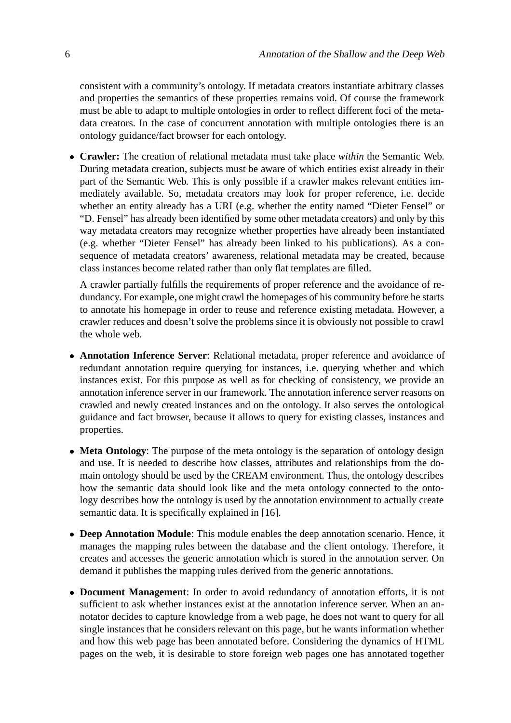consistent with a community's ontology. If metadata creators instantiate arbitrary classes and properties the semantics of these properties remains void. Of course the framework must be able to adapt to multiple ontologies in order to reflect different foci of the metadata creators. In the case of concurrent annotation with multiple ontologies there is an ontology guidance/fact browser for each ontology.

 **Crawler:** The creation of relational metadata must take place *within* the Semantic Web. During metadata creation, subjects must be aware of which entities exist already in their part of the Semantic Web. This is only possible if a crawler makes relevant entities immediately available. So, metadata creators may look for proper reference, i.e. decide whether an entity already has a URI (e.g. whether the entity named "Dieter Fensel" or "D. Fensel" has already been identified by some other metadata creators) and only by this way metadata creators may recognize whether properties have already been instantiated (e.g. whether "Dieter Fensel" has already been linked to his publications). As a consequence of metadata creators' awareness, relational metadata may be created, because class instances become related rather than only flat templates are filled.

A crawler partially fulfills the requirements of proper reference and the avoidance of redundancy. For example, one might crawl the homepages of his community before he starts to annotate his homepage in order to reuse and reference existing metadata. However, a crawler reduces and doesn't solve the problems since it is obviously not possible to crawl the whole web.

- **Annotation Inference Server**: Relational metadata, proper reference and avoidance of redundant annotation require querying for instances, i.e. querying whether and which instances exist. For this purpose as well as for checking of consistency, we provide an annotation inference server in our framework. The annotation inference server reasons on crawled and newly created instances and on the ontology. It also serves the ontological guidance and fact browser, because it allows to query for existing classes, instances and properties.
- **Meta Ontology**: The purpose of the meta ontology is the separation of ontology design and use. It is needed to describe how classes, attributes and relationships from the domain ontology should be used by the CREAM environment. Thus, the ontology describes how the semantic data should look like and the meta ontology connected to the ontology describes how the ontology is used by the annotation environment to actually create semantic data. It is specifically explained in [16].
- **Deep Annotation Module**: This module enables the deep annotation scenario. Hence, it manages the mapping rules between the database and the client ontology. Therefore, it creates and accesses the generic annotation which is stored in the annotation server. On demand it publishes the mapping rules derived from the generic annotations.
- **Document Management**: In order to avoid redundancy of annotation efforts, it is not sufficient to ask whether instances exist at the annotation inference server. When an annotator decides to capture knowledge from a web page, he does not want to query for all single instances that he considers relevant on this page, but he wants information whether and how this web page has been annotated before. Considering the dynamics of HTML pages on the web, it is desirable to store foreign web pages one has annotated together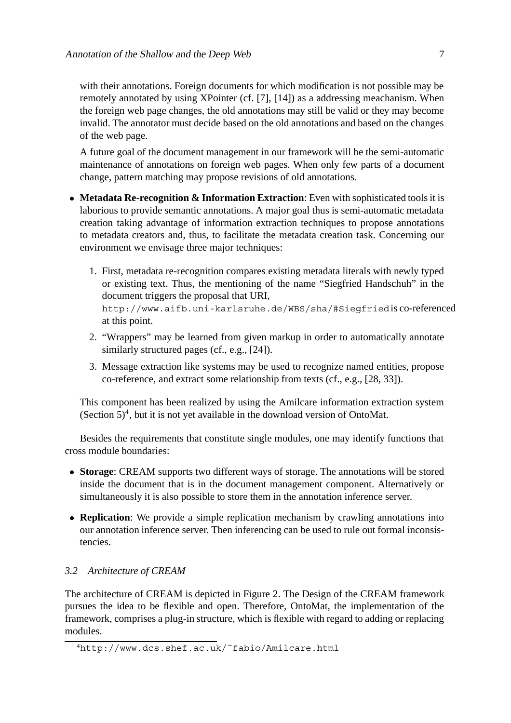with their annotations. Foreign documents for which modification is not possible may be remotely annotated by using XPointer (cf. [7], [14]) as a addressing meachanism. When the foreign web page changes, the old annotations may still be valid or they may become invalid. The annotator must decide based on the old annotations and based on the changes of the web page.

A future goal of the document management in our framework will be the semi-automatic maintenance of annotations on foreign web pages. When only few parts of a document change, pattern matching may propose revisions of old annotations.

- **Metadata Re-recognition & Information Extraction**: Even with sophisticated tools it is laborious to provide semantic annotations. A major goal thus is semi-automatic metadata creation taking advantage of information extraction techniques to propose annotations to metadata creators and, thus, to facilitate the metadata creation task. Concerning our environment we envisage three major techniques:
	- 1. First, metadata re-recognition compares existing metadata literals with newly typed or existing text. Thus, the mentioning of the name "Siegfried Handschuh" in the document triggers the proposal that URI, http://www.aifb.uni-karlsruhe.de/WBS/sha/#Siegfriedis co-referenced at this point.
	- 2. "Wrappers" may be learned from given markup in order to automatically annotate similarly structured pages (cf., e.g., [24]).
	- 3. Message extraction like systems may be used to recognize named entities, propose co-reference, and extract some relationship from texts (cf., e.g., [28, 33]).

This component has been realized by using the Amilcare information extraction system (Section  $5^4$ , but it is not yet available in the download version of OntoMat.

Besides the requirements that constitute single modules, one may identify functions that cross module boundaries:

- **Storage**: CREAM supports two different ways of storage. The annotations will be stored inside the document that is in the document management component. Alternatively or simultaneously it is also possible to store them in the annotation inference server.
- **Replication**: We provide a simple replication mechanism by crawling annotations into our annotation inference server. Then inferencing can be used to rule out formal inconsistencies.

## *3.2 Architecture of CREAM*

The architecture of CREAM is depicted in Figure 2. The Design of the CREAM framework pursues the idea to be flexible and open. Therefore, OntoMat, the implementation of the framework, comprises a plug-in structure, which is flexible with regard to adding or replacing modules.

<sup>4</sup>http://www.dcs.shef.ac.uk/˜fabio/Amilcare.html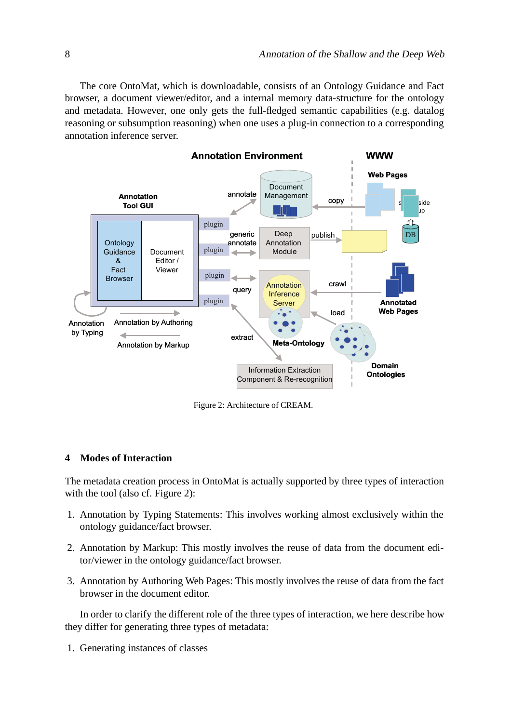The core OntoMat, which is downloadable, consists of an Ontology Guidance and Fact browser, a document viewer/editor, and a internal memory data-structure for the ontology and metadata. However, one only gets the full-fledged semantic capabilities (e.g. datalog reasoning or subsumption reasoning) when one uses a plug-in connection to a corresponding annotation inference server.



Figure 2: Architecture of CREAM.

## **4 Modes of Interaction**

The metadata creation process in OntoMat is actually supported by three types of interaction with the tool (also cf. Figure 2):

- 1. Annotation by Typing Statements: This involves working almost exclusively within the ontology guidance/fact browser.
- 2. Annotation by Markup: This mostly involves the reuse of data from the document editor/viewer in the ontology guidance/fact browser.
- 3. Annotation by Authoring Web Pages: This mostly involves the reuse of data from the fact browser in the document editor.

In order to clarify the different role of the three types of interaction, we here describe how they differ for generating three types of metadata:

1. Generating instances of classes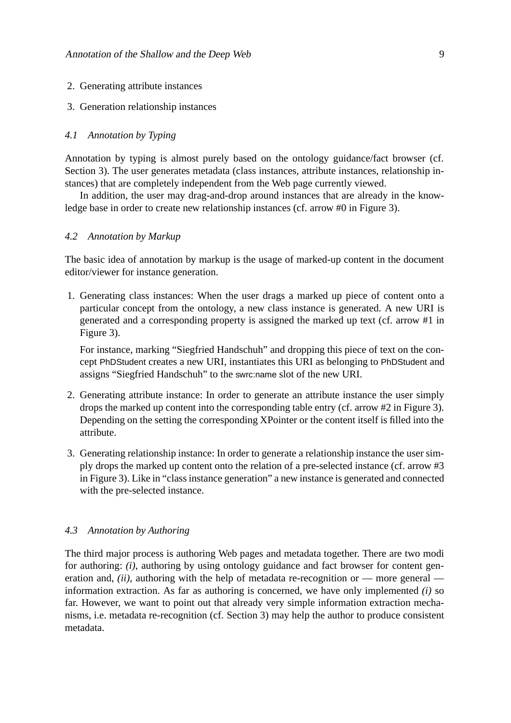- 2. Generating attribute instances
- 3. Generation relationship instances

## *4.1 Annotation by Typing*

Annotation by typing is almost purely based on the ontology guidance/fact browser (cf. Section 3). The user generates metadata (class instances, attribute instances, relationship instances) that are completely independent from the Web page currently viewed.

In addition, the user may drag-and-drop around instances that are already in the knowledge base in order to create new relationship instances (cf. arrow #0 in Figure 3).

#### *4.2 Annotation by Markup*

The basic idea of annotation by markup is the usage of marked-up content in the document editor/viewer for instance generation.

1. Generating class instances: When the user drags a marked up piece of content onto a particular concept from the ontology, a new class instance is generated. A new URI is generated and a corresponding property is assigned the marked up text (cf. arrow #1 in Figure 3).

For instance, marking "Siegfried Handschuh" and dropping this piece of text on the concept PhDStudent creates a new URI, instantiates this URI as belonging to PhDStudent and assigns "Siegfried Handschuh" to the swrc:name slot of the new URI.

- 2. Generating attribute instance: In order to generate an attribute instance the user simply drops the marked up content into the corresponding table entry (cf. arrow #2 in Figure 3). Depending on the setting the corresponding XPointer or the content itself is filled into the attribute.
- 3. Generating relationship instance: In order to generate a relationship instance the user simply drops the marked up content onto the relation of a pre-selected instance (cf. arrow #3 in Figure 3). Like in "class instance generation" a new instance is generated and connected with the pre-selected instance.

## *4.3 Annotation by Authoring*

The third major process is authoring Web pages and metadata together. There are two modi for authoring: *(i)*, authoring by using ontology guidance and fact browser for content generation and, *(ii)*, authoring with the help of metadata re-recognition or — more general information extraction. As far as authoring is concerned, we have only implemented *(i)* so far. However, we want to point out that already very simple information extraction mechanisms, i.e. metadata re-recognition (cf. Section 3) may help the author to produce consistent metadata.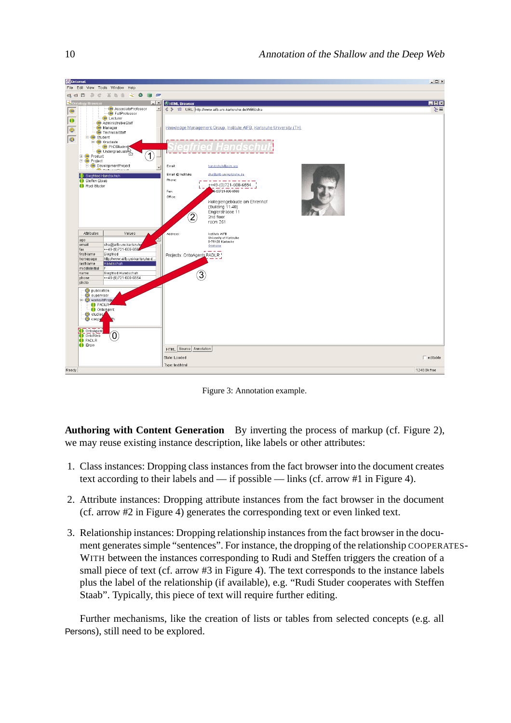

Figure 3: Annotation example.

**Authoring with Content Generation** By inverting the process of markup (cf. Figure 2), we may reuse existing instance description, like labels or other attributes:

- 1. Class instances: Dropping class instances from the fact browser into the document creates text according to their labels and — if possible — links (cf. arrow #1 in Figure 4).
- 2. Attribute instances: Dropping attribute instances from the fact browser in the document (cf. arrow #2 in Figure 4) generates the corresponding text or even linked text.
- 3. Relationship instances: Dropping relationship instances from the fact browser in the document generates simple "sentences". For instance, the dropping of the relationship COOPERATES-WITH between the instances corresponding to Rudi and Steffen triggers the creation of a small piece of text (cf. arrow #3 in Figure 4). The text corresponds to the instance labels plus the label of the relationship (if available), e.g. "Rudi Studer cooperates with Steffen Staab". Typically, this piece of text will require further editing.

Further mechanisms, like the creation of lists or tables from selected concepts (e.g. all Persons), still need to be explored.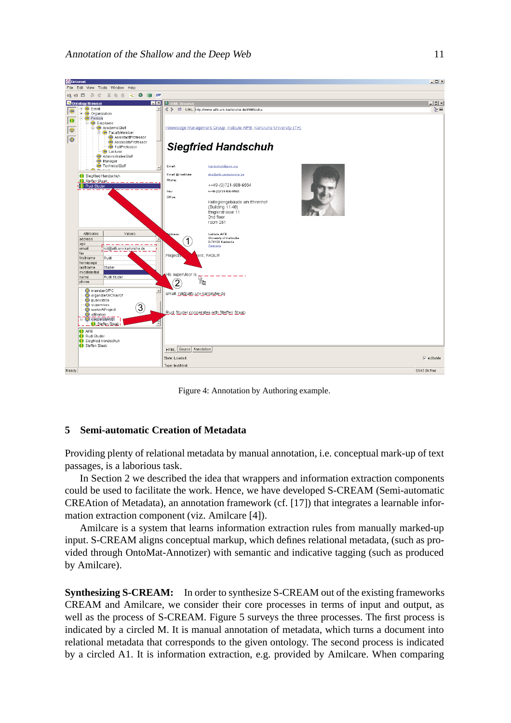

Figure 4: Annotation by Authoring example.

# **5 Semi-automatic Creation of Metadata**

Providing plenty of relational metadata by manual annotation, i.e. conceptual mark-up of text passages, is a laborious task.

In Section 2 we described the idea that wrappers and information extraction components could be used to facilitate the work. Hence, we have developed S-CREAM (Semi-automatic CREAtion of Metadata), an annotation framework (cf. [17]) that integrates a learnable information extraction component (viz. Amilcare [4]).

Amilcare is a system that learns information extraction rules from manually marked-up input. S-CREAM aligns conceptual markup, which defines relational metadata, (such as provided through OntoMat-Annotizer) with semantic and indicative tagging (such as produced by Amilcare).

**Synthesizing S-CREAM:** In order to synthesize S-CREAM out of the existing frameworks CREAM and Amilcare, we consider their core processes in terms of input and output, as well as the process of S-CREAM. Figure 5 surveys the three processes. The first process is indicated by a circled M. It is manual annotation of metadata, which turns a document into relational metadata that corresponds to the given ontology. The second process is indicated by a circled A1. It is information extraction, e.g. provided by Amilcare. When comparing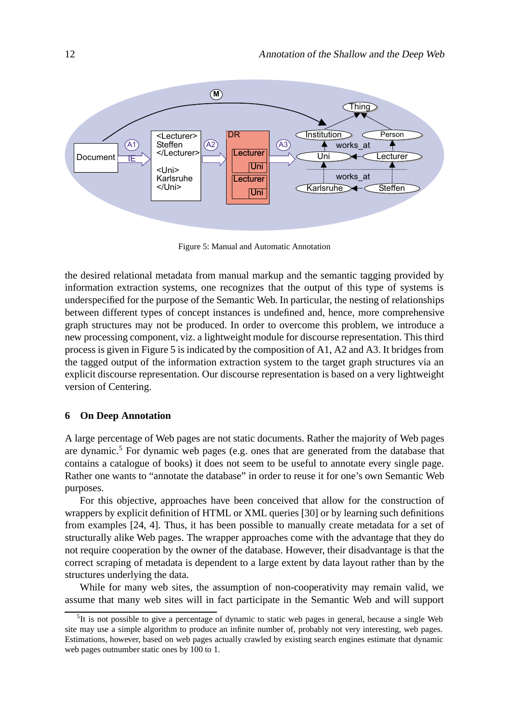

Figure 5: Manual and Automatic Annotation

the desired relational metadata from manual markup and the semantic tagging provided by information extraction systems, one recognizes that the output of this type of systems is underspecified for the purpose of the Semantic Web. In particular, the nesting of relationships between different types of concept instances is undefined and, hence, more comprehensive graph structures may not be produced. In order to overcome this problem, we introduce a new processing component, viz. a lightweight module for discourse representation. This third process is given in Figure 5 is indicated by the composition of A1, A2 and A3. It bridges from the tagged output of the information extraction system to the target graph structures via an explicit discourse representation. Our discourse representation is based on a very lightweight version of Centering.

#### **6 On Deep Annotation**

A large percentage of Web pages are not static documents. Rather the majority of Web pages are dynamic.<sup>5</sup> For dynamic web pages (e.g. ones that are generated from the database that contains a catalogue of books) it does not seem to be useful to annotate every single page. Rather one wants to "annotate the database" in order to reuse it for one's own Semantic Web purposes.

For this objective, approaches have been conceived that allow for the construction of wrappers by explicit definition of HTML or XML queries [30] or by learning such definitions from examples [24, 4]. Thus, it has been possible to manually create metadata for a set of structurally alike Web pages. The wrapper approaches come with the advantage that they do not require cooperation by the owner of the database. However, their disadvantage is that the correct scraping of metadata is dependent to a large extent by data layout rather than by the structures underlying the data.

While for many web sites, the assumption of non-cooperativity may remain valid, we assume that many web sites will in fact participate in the Semantic Web and will support

 $<sup>5</sup>$ It is not possible to give a percentage of dynamic to static web pages in general, because a single Web</sup> site may use a simple algorithm to produce an infinite number of, probably not very interesting, web pages. Estimations, however, based on web pages actually crawled by existing search engines estimate that dynamic web pages outnumber static ones by 100 to 1.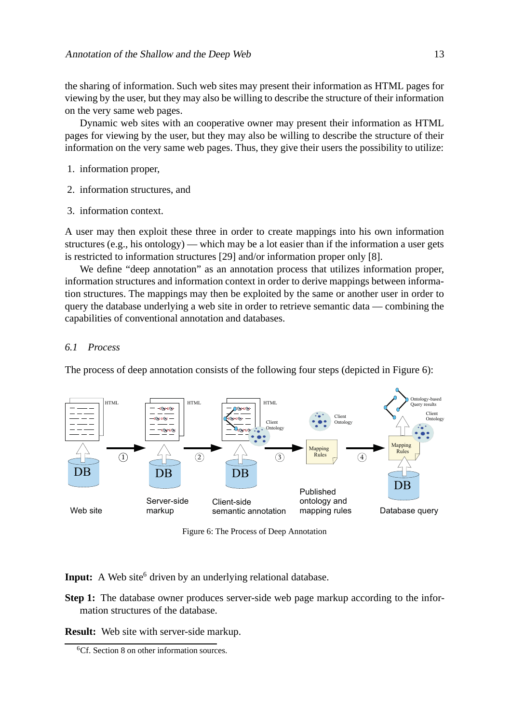the sharing of information. Such web sites may present their information as HTML pages for viewing by the user, but they may also be willing to describe the structure of their information on the very same web pages.

Dynamic web sites with an cooperative owner may present their information as HTML pages for viewing by the user, but they may also be willing to describe the structure of their information on the very same web pages. Thus, they give their users the possibility to utilize:

- 1. information proper,
- 2. information structures, and
- 3. information context.

A user may then exploit these three in order to create mappings into his own information structures (e.g., his ontology) — which may be a lot easier than if the information a user gets is restricted to information structures [29] and/or information proper only [8].

We define "deep annotation" as an annotation process that utilizes information proper, information structures and information context in order to derive mappings between information structures. The mappings may then be exploited by the same or another user in order to query the database underlying a web site in order to retrieve semantic data — combining the capabilities of conventional annotation and databases.

## *6.1 Process*

The process of deep annotation consists of the following four steps (depicted in Figure 6):



Figure 6: The Process of Deep Annotation

**Input:** A Web site<sup>6</sup> driven by an underlying relational database.

**Step 1:** The database owner produces server-side web page markup according to the information structures of the database.

**Result:** Web site with server-side markup.

 ${}^{6}$ Cf. Section 8 on other information sources.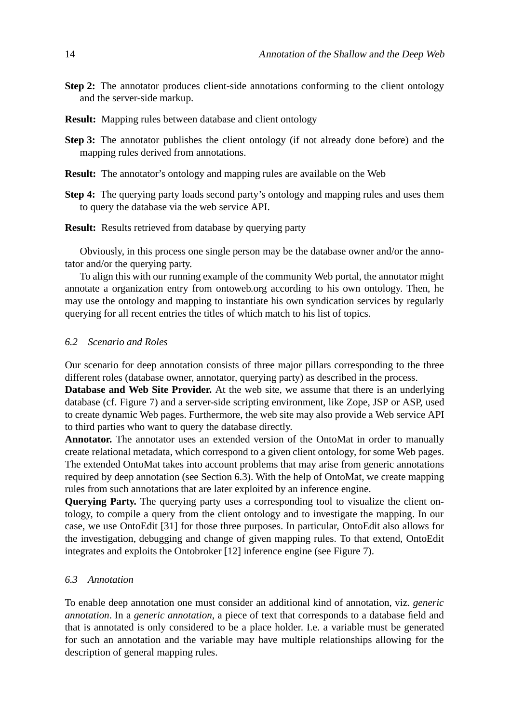- **Step 2:** The annotator produces client-side annotations conforming to the client ontology and the server-side markup.
- **Result:** Mapping rules between database and client ontology
- **Step 3:** The annotator publishes the client ontology (if not already done before) and the mapping rules derived from annotations.
- **Result:** The annotator's ontology and mapping rules are available on the Web
- **Step 4:** The querying party loads second party's ontology and mapping rules and uses them to query the database via the web service API.

**Result:** Results retrieved from database by querying party

Obviously, in this process one single person may be the database owner and/or the annotator and/or the querying party.

To align this with our running example of the community Web portal, the annotator might annotate a organization entry from ontoweb.org according to his own ontology. Then, he may use the ontology and mapping to instantiate his own syndication services by regularly querying for all recent entries the titles of which match to his list of topics.

#### *6.2 Scenario and Roles*

Our scenario for deep annotation consists of three major pillars corresponding to the three different roles (database owner, annotator, querying party) as described in the process.

**Database and Web Site Provider.** At the web site, we assume that there is an underlying database (cf. Figure 7) and a server-side scripting environment, like Zope, JSP or ASP, used to create dynamic Web pages. Furthermore, the web site may also provide a Web service API to third parties who want to query the database directly.

**Annotator.** The annotator uses an extended version of the OntoMat in order to manually create relational metadata, which correspond to a given client ontology, for some Web pages. The extended OntoMat takes into account problems that may arise from generic annotations required by deep annotation (see Section 6.3). With the help of OntoMat, we create mapping rules from such annotations that are later exploited by an inference engine.

**Querying Party.** The querying party uses a corresponding tool to visualize the client ontology, to compile a query from the client ontology and to investigate the mapping. In our case, we use OntoEdit [31] for those three purposes. In particular, OntoEdit also allows for the investigation, debugging and change of given mapping rules. To that extend, OntoEdit integrates and exploits the Ontobroker [12] inference engine (see Figure 7).

## *6.3 Annotation*

To enable deep annotation one must consider an additional kind of annotation, viz. *generic annotation*. In a *generic annotation*, a piece of text that corresponds to a database field and that is annotated is only considered to be a place holder. I.e. a variable must be generated for such an annotation and the variable may have multiple relationships allowing for the description of general mapping rules.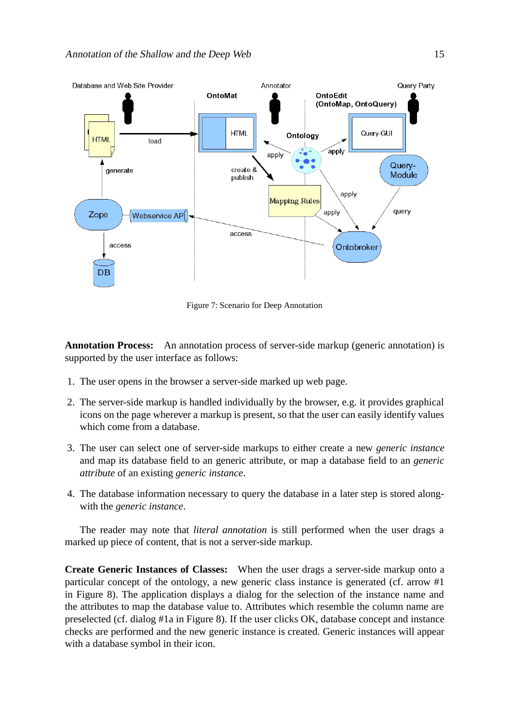

Figure 7: Scenario for Deep Annotation

**Annotation Process:** An annotation process of server-side markup (generic annotation) is supported by the user interface as follows:

- 1. The user opens in the browser a server-side marked up web page.
- 2. The server-side markup is handled individually by the browser, e.g. it provides graphical icons on the page wherever a markup is present, so that the user can easily identify values which come from a database.
- 3. The user can select one of server-side markups to either create a new *generic instance* and map its database field to an generic attribute, or map a database field to an *generic attribute* of an existing *generic instance*.
- 4. The database information necessary to query the database in a later step is stored alongwith the *generic instance*.

The reader may note that *literal annotation* is still performed when the user drags a marked up piece of content, that is not a server-side markup.

**Create Generic Instances of Classes:** When the user drags a server-side markup onto a particular concept of the ontology, a new generic class instance is generated (cf. arrow #1 in Figure 8). The application displays a dialog for the selection of the instance name and the attributes to map the database value to. Attributes which resemble the column name are preselected (cf. dialog #1a in Figure 8). If the user clicks OK, database concept and instance checks are performed and the new generic instance is created. Generic instances will appear with a database symbol in their icon.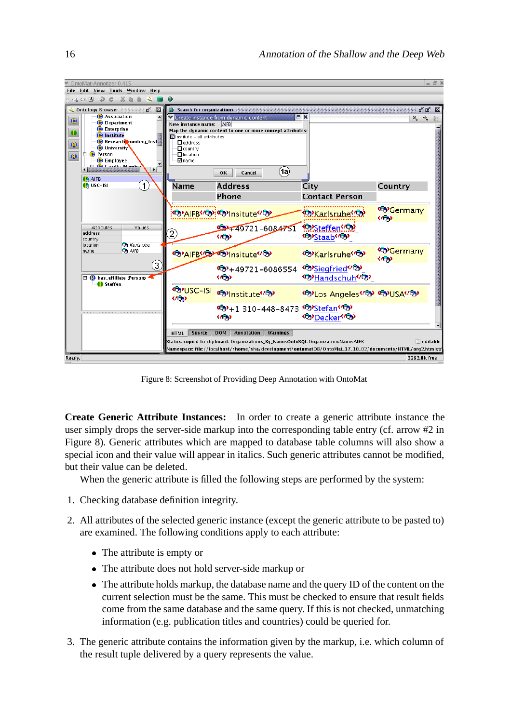

Figure 8: Screenshot of Providing Deep Annotation with OntoMat

**Create Generic Attribute Instances:** In order to create a generic attribute instance the user simply drops the server-side markup into the corresponding table entry (cf. arrow #2 in Figure 8). Generic attributes which are mapped to database table columns will also show a special icon and their value will appear in italics. Such generic attributes cannot be modified, but their value can be deleted.

When the generic attribute is filled the following steps are performed by the system:

- 1. Checking database definition integrity.
- 2. All attributes of the selected generic instance (except the generic attribute to be pasted to) are examined. The following conditions apply to each attribute:
	- The attribute is empty or
	- The attribute does not hold server-side markup or
	- The attribute holds markup, the database name and the query ID of the content on the current selection must be the same. This must be checked to ensure that result fields come from the same database and the same query. If this is not checked, unmatching information (e.g. publication titles and countries) could be queried for.
- 3. The generic attribute contains the information given by the markup, i.e. which column of the result tuple delivered by a query represents the value.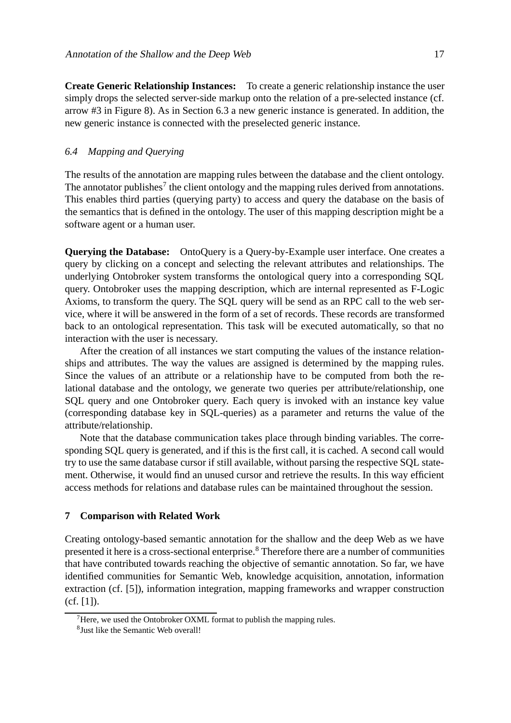**Create Generic Relationship Instances:** To create a generic relationship instance the user simply drops the selected server-side markup onto the relation of a pre-selected instance (cf. arrow #3 in Figure 8). As in Section 6.3 a new generic instance is generated. In addition, the new generic instance is connected with the preselected generic instance.

#### *6.4 Mapping and Querying*

The results of the annotation are mapping rules between the database and the client ontology. The annotator publishes<sup>7</sup> the client ontology and the mapping rules derived from annotations. This enables third parties (querying party) to access and query the database on the basis of the semantics that is defined in the ontology. The user of this mapping description might be a software agent or a human user.

**Querying the Database:** OntoQuery is a Query-by-Example user interface. One creates a query by clicking on a concept and selecting the relevant attributes and relationships. The underlying Ontobroker system transforms the ontological query into a corresponding SQL query. Ontobroker uses the mapping description, which are internal represented as F-Logic Axioms, to transform the query. The SQL query will be send as an RPC call to the web service, where it will be answered in the form of a set of records. These records are transformed back to an ontological representation. This task will be executed automatically, so that no interaction with the user is necessary.

After the creation of all instances we start computing the values of the instance relationships and attributes. The way the values are assigned is determined by the mapping rules. Since the values of an attribute or a relationship have to be computed from both the relational database and the ontology, we generate two queries per attribute/relationship, one SQL query and one Ontobroker query. Each query is invoked with an instance key value (corresponding database key in SQL-queries) as a parameter and returns the value of the attribute/relationship.

Note that the database communication takes place through binding variables. The corresponding SQL query is generated, and if this is the first call, it is cached. A second call would try to use the same database cursor if still available, without parsing the respective SQL statement. Otherwise, it would find an unused cursor and retrieve the results. In this way efficient access methods for relations and database rules can be maintained throughout the session.

## **7 Comparison with Related Work**

Creating ontology-based semantic annotation for the shallow and the deep Web as we have presented it here is a cross-sectional enterprise.<sup>8</sup> Therefore there are a number of communities that have contributed towards reaching the objective of semantic annotation. So far, we have identified communities for Semantic Web, knowledge acquisition, annotation, information extraction (cf. [5]), information integration, mapping frameworks and wrapper construction  $(cf. [1]).$ 

 $7$ Here, we used the Ontobroker OXML format to publish the mapping rules.

<sup>8</sup>Just like the Semantic Web overall!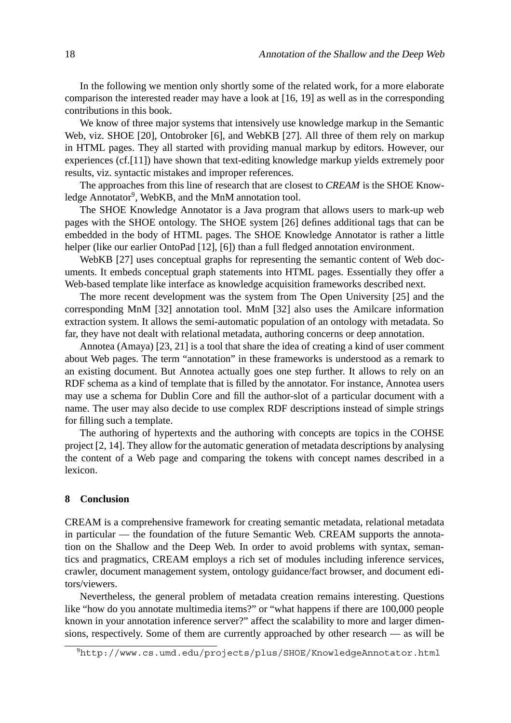In the following we mention only shortly some of the related work, for a more elaborate comparison the interested reader may have a look at [16, 19] as well as in the corresponding contributions in this book.

We know of three major systems that intensively use knowledge markup in the Semantic Web, viz. SHOE [20], Ontobroker [6], and WebKB [27]. All three of them rely on markup in HTML pages. They all started with providing manual markup by editors. However, our experiences (cf.[11]) have shown that text-editing knowledge markup yields extremely poor results, viz. syntactic mistakes and improper references.

The approaches from this line of research that are closest to *CREAM* is the SHOE Knowledge Annotator<sup>9</sup>, WebKB, and the MnM annotation tool.

The SHOE Knowledge Annotator is a Java program that allows users to mark-up web pages with the SHOE ontology. The SHOE system [26] defines additional tags that can be embedded in the body of HTML pages. The SHOE Knowledge Annotator is rather a little helper (like our earlier OntoPad [12], [6]) than a full fledged annotation environment.

WebKB [27] uses conceptual graphs for representing the semantic content of Web documents. It embeds conceptual graph statements into HTML pages. Essentially they offer a Web-based template like interface as knowledge acquisition frameworks described next.

The more recent development was the system from The Open University [25] and the corresponding MnM [32] annotation tool. MnM [32] also uses the Amilcare information extraction system. It allows the semi-automatic population of an ontology with metadata. So far, they have not dealt with relational metadata, authoring concerns or deep annotation.

Annotea (Amaya) [23, 21] is a tool that share the idea of creating a kind of user comment about Web pages. The term "annotation" in these frameworks is understood as a remark to an existing document. But Annotea actually goes one step further. It allows to rely on an RDF schema as a kind of template that is filled by the annotator. For instance, Annotea users may use a schema for Dublin Core and fill the author-slot of a particular document with a name. The user may also decide to use complex RDF descriptions instead of simple strings for filling such a template.

The authoring of hypertexts and the authoring with concepts are topics in the COHSE project [2, 14]. They allow for the automatic generation of metadata descriptions by analysing the content of a Web page and comparing the tokens with concept names described in a lexicon.

## **8 Conclusion**

CREAM is a comprehensive framework for creating semantic metadata, relational metadata in particular — the foundation of the future Semantic Web. CREAM supports the annotation on the Shallow and the Deep Web. In order to avoid problems with syntax, semantics and pragmatics, CREAM employs a rich set of modules including inference services, crawler, document management system, ontology guidance/fact browser, and document editors/viewers.

Nevertheless, the general problem of metadata creation remains interesting. Questions like "how do you annotate multimedia items?" or "what happens if there are 100,000 people known in your annotation inference server?" affect the scalability to more and larger dimensions, respectively. Some of them are currently approached by other research — as will be

<sup>9</sup>http://www.cs.umd.edu/projects/plus/SHOE/KnowledgeAnnotator.html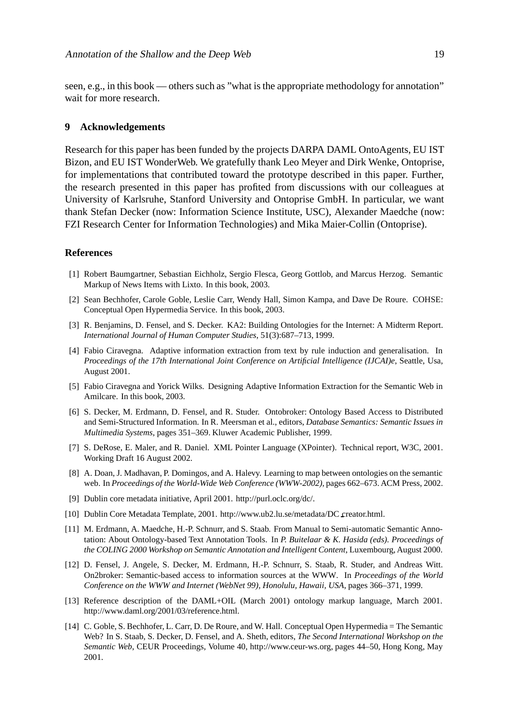seen, e.g., in this book — others such as "what is the appropriate methodology for annotation" wait for more research.

#### **9 Acknowledgements**

Research for this paper has been funded by the projects DARPA DAML OntoAgents, EU IST Bizon, and EU IST WonderWeb. We gratefully thank Leo Meyer and Dirk Wenke, Ontoprise, for implementations that contributed toward the prototype described in this paper. Further, the research presented in this paper has profited from discussions with our colleagues at University of Karlsruhe, Stanford University and Ontoprise GmbH. In particular, we want thank Stefan Decker (now: Information Science Institute, USC), Alexander Maedche (now: FZI Research Center for Information Technologies) and Mika Maier-Collin (Ontoprise).

#### **References**

- [1] Robert Baumgartner, Sebastian Eichholz, Sergio Flesca, Georg Gottlob, and Marcus Herzog. Semantic Markup of News Items with Lixto. In this book, 2003.
- [2] Sean Bechhofer, Carole Goble, Leslie Carr, Wendy Hall, Simon Kampa, and Dave De Roure. COHSE: Conceptual Open Hypermedia Service. In this book, 2003.
- [3] R. Benjamins, D. Fensel, and S. Decker. KA2: Building Ontologies for the Internet: A Midterm Report. *International Journal of Human Computer Studies*, 51(3):687–713, 1999.
- [4] Fabio Ciravegna. Adaptive information extraction from text by rule induction and generalisation. In *Proceedings of the 17th International Joint Conference on Artificial Intelligence (IJCAI)e*, Seattle, Usa, August 2001.
- [5] Fabio Ciravegna and Yorick Wilks. Designing Adaptive Information Extraction for the Semantic Web in Amilcare. In this book, 2003.
- [6] S. Decker, M. Erdmann, D. Fensel, and R. Studer. Ontobroker: Ontology Based Access to Distributed and Semi-Structured Information. In R. Meersman et al., editors, *Database Semantics: Semantic Issues in Multimedia Systems*, pages 351–369. Kluwer Academic Publisher, 1999.
- [7] S. DeRose, E. Maler, and R. Daniel. XML Pointer Language (XPointer). Technical report, W3C, 2001. Working Draft 16 August 2002.
- [8] A. Doan, J. Madhavan, P. Domingos, and A. Halevy. Learning to map between ontologies on the semantic web. In *Proceedings of the World-Wide Web Conference (WWW-2002)*, pages 662–673. ACM Press, 2002.
- [9] Dublin core metadata initiative, April 2001. http://purl.oclc.org/dc/.
- [10] Dublin Core Metadata Template, 2001. http://www.ub2.lu.se/metadata/DC creator.html.
- [11] M. Erdmann, A. Maedche, H.-P. Schnurr, and S. Staab. From Manual to Semi-automatic Semantic Annotation: About Ontology-based Text Annotation Tools. In *P. Buitelaar & K. Hasida (eds). Proceedings of the COLING 2000 Workshop on Semantic Annotation and Intelligent Content*, Luxembourg, August 2000.
- [12] D. Fensel, J. Angele, S. Decker, M. Erdmann, H.-P. Schnurr, S. Staab, R. Studer, and Andreas Witt. On2broker: Semantic-based access to information sources at the WWW. In *Proceedings of the World Conference on the WWW and Internet (WebNet 99), Honolulu, Hawaii, USA*, pages 366–371, 1999.
- [13] Reference description of the DAML+OIL (March 2001) ontology markup language, March 2001. http://www.daml.org/2001/03/reference.html.
- [14] C. Goble, S. Bechhofer, L. Carr, D. De Roure, and W. Hall. Conceptual Open Hypermedia = The Semantic Web? In S. Staab, S. Decker, D. Fensel, and A. Sheth, editors, *The Second International Workshop on the Semantic Web*, CEUR Proceedings, Volume 40, http://www.ceur-ws.org, pages 44–50, Hong Kong, May 2001.